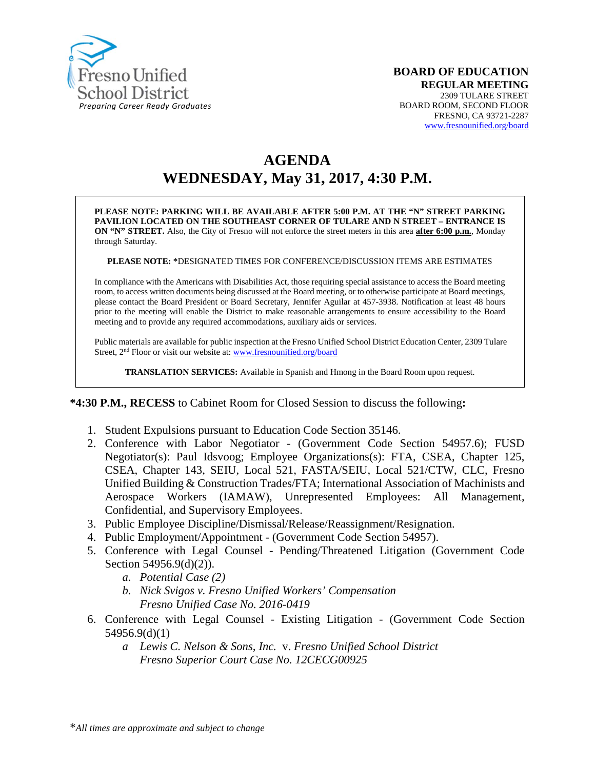

# **AGENDA WEDNESDAY, May 31, 2017, 4:30 P.M.**

**PLEASE NOTE: PARKING WILL BE AVAILABLE AFTER 5:00 P.M. AT THE "N" STREET PARKING PAVILION LOCATED ON THE SOUTHEAST CORNER OF TULARE AND N STREET – ENTRANCE IS ON "N" STREET.** Also, the City of Fresno will not enforce the street meters in this area **after 6:00 p.m.**, Monday through Saturday.

**PLEASE NOTE: \***DESIGNATED TIMES FOR CONFERENCE/DISCUSSION ITEMS ARE ESTIMATES

In compliance with the Americans with Disabilities Act, those requiring special assistance to access the Board meeting room, to access written documents being discussed at the Board meeting, or to otherwise participate at Board meetings, please contact the Board President or Board Secretary, Jennifer Aguilar at 457-3938. Notification at least 48 hours prior to the meeting will enable the District to make reasonable arrangements to ensure accessibility to the Board meeting and to provide any required accommodations, auxiliary aids or services.

Public materials are available for public inspection at the Fresno Unified School District Education Center, 2309 Tulare Street, 2<sup>nd</sup> Floor or visit our website at: [www.fresnounified.org/board](http://www.fresnounified.org/board)

**TRANSLATION SERVICES:** Available in Spanish and Hmong in the Board Room upon request.

#### **\*4:30 P.M., RECESS** to Cabinet Room for Closed Session to discuss the following**:**

- 1. Student Expulsions pursuant to Education Code Section 35146.
- 2. Conference with Labor Negotiator (Government Code Section 54957.6); FUSD Negotiator(s): Paul Idsvoog; Employee Organizations(s): FTA, CSEA, Chapter 125, CSEA, Chapter 143, SEIU, Local 521, FASTA/SEIU, Local 521/CTW, CLC, Fresno Unified Building & Construction Trades/FTA; International Association of Machinists and Aerospace Workers (IAMAW), Unrepresented Employees: All Management, Confidential, and Supervisory Employees.
- 3. Public Employee Discipline/Dismissal/Release/Reassignment/Resignation.
- 4. Public Employment/Appointment (Government Code Section 54957).
- 5. Conference with Legal Counsel Pending/Threatened Litigation (Government Code Section 54956.9(d)(2)).
	- *a. Potential Case (2)*
	- *b. Nick Svigos v. Fresno Unified Workers' Compensation Fresno Unified Case No. 2016-0419*
- 6. Conference with Legal Counsel Existing Litigation (Government Code Section 54956.9(d)(1)
	- *a Lewis C. Nelson & Sons, Inc.* v. *Fresno Unified School District Fresno Superior Court Case No. 12CECG00925*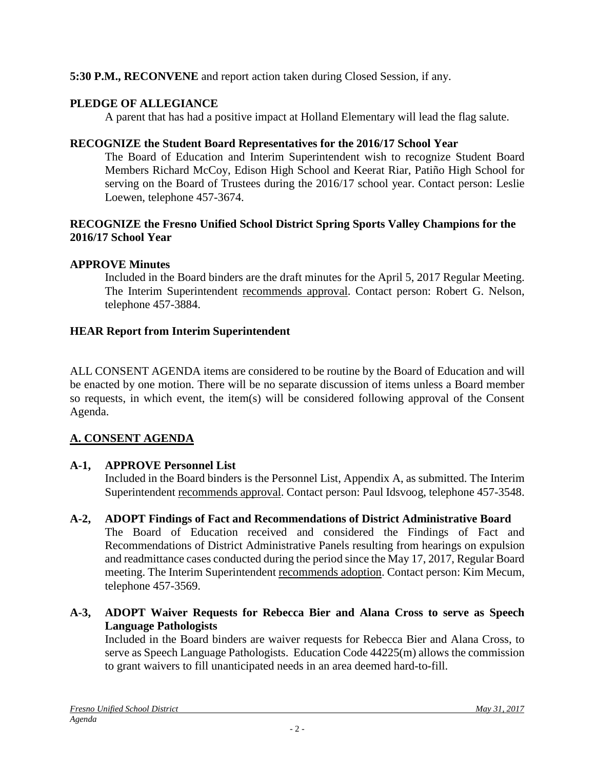# **5:30 P.M., RECONVENE** and report action taken during Closed Session, if any.

# **PLEDGE OF ALLEGIANCE**

A parent that has had a positive impact at Holland Elementary will lead the flag salute.

## **RECOGNIZE the Student Board Representatives for the 2016/17 School Year**

The Board of Education and Interim Superintendent wish to recognize Student Board Members Richard McCoy, Edison High School and Keerat Riar, Patiño High School for serving on the Board of Trustees during the 2016/17 school year. Contact person: Leslie Loewen, telephone 457-3674.

## **RECOGNIZE the Fresno Unified School District Spring Sports Valley Champions for the 2016/17 School Year**

# **APPROVE Minutes**

Included in the Board binders are the draft minutes for the April 5, 2017 Regular Meeting. The Interim Superintendent recommends approval. Contact person: Robert G. Nelson, telephone 457-3884.

# **HEAR Report from Interim Superintendent**

ALL CONSENT AGENDA items are considered to be routine by the Board of Education and will be enacted by one motion. There will be no separate discussion of items unless a Board member so requests, in which event, the item(s) will be considered following approval of the Consent Agenda.

# **A. CONSENT AGENDA**

# **A-1, APPROVE Personnel List**

Included in the Board binders is the Personnel List, Appendix A, as submitted. The Interim Superintendent recommends approval. Contact person: Paul Idsvoog, telephone 457-3548.

- **A-2, ADOPT Findings of Fact and Recommendations of District Administrative Board** The Board of Education received and considered the Findings of Fact and Recommendations of District Administrative Panels resulting from hearings on expulsion and readmittance cases conducted during the period since the May 17, 2017, Regular Board meeting. The Interim Superintendent recommends adoption. Contact person: Kim Mecum, telephone 457-3569.
- **A-3, ADOPT Waiver Requests for Rebecca Bier and Alana Cross to serve as Speech Language Pathologists**

Included in the Board binders are waiver requests for Rebecca Bier and Alana Cross, to serve as Speech Language Pathologists. Education Code 44225(m) allows the commission to grant waivers to fill unanticipated needs in an area deemed hard-to-fill.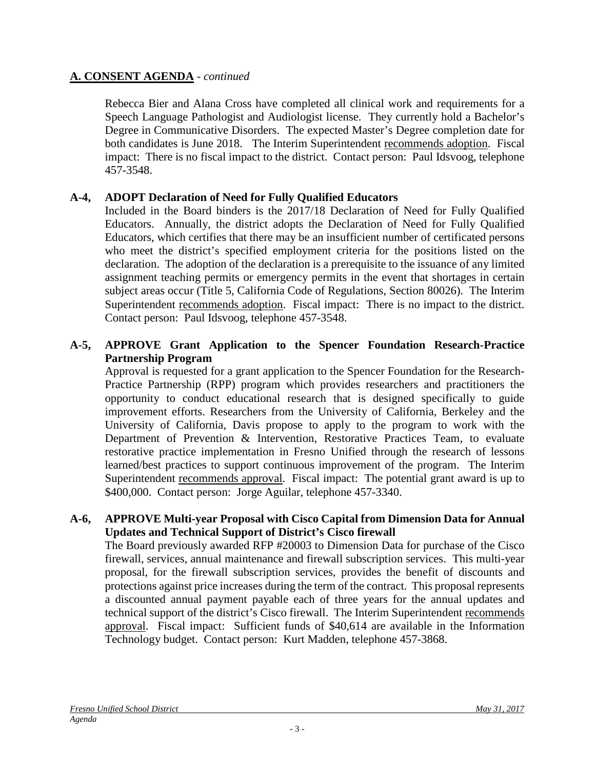Rebecca Bier and Alana Cross have completed all clinical work and requirements for a Speech Language Pathologist and Audiologist license. They currently hold a Bachelor's Degree in Communicative Disorders. The expected Master's Degree completion date for both candidates is June 2018. The Interim Superintendent recommends adoption. Fiscal impact: There is no fiscal impact to the district. Contact person: Paul Idsvoog, telephone 457-3548.

# **A-4, ADOPT Declaration of Need for Fully Qualified Educators**

Included in the Board binders is the 2017/18 Declaration of Need for Fully Qualified Educators. Annually, the district adopts the Declaration of Need for Fully Qualified Educators, which certifies that there may be an insufficient number of certificated persons who meet the district's specified employment criteria for the positions listed on the declaration. The adoption of the declaration is a prerequisite to the issuance of any limited assignment teaching permits or emergency permits in the event that shortages in certain subject areas occur (Title 5, California Code of Regulations, Section 80026). The Interim Superintendent recommends adoption. Fiscal impact: There is no impact to the district. Contact person: Paul Idsvoog, telephone 457-3548.

### **A-5, APPROVE Grant Application to the Spencer Foundation Research-Practice Partnership Program**

Approval is requested for a grant application to the Spencer Foundation for the Research-Practice Partnership (RPP) program which provides researchers and practitioners the opportunity to conduct educational research that is designed specifically to guide improvement efforts. Researchers from the University of California, Berkeley and the University of California, Davis propose to apply to the program to work with the Department of Prevention & Intervention, Restorative Practices Team, to evaluate restorative practice implementation in Fresno Unified through the research of lessons learned/best practices to support continuous improvement of the program. The Interim Superintendent recommends approval. Fiscal impact: The potential grant award is up to \$400,000. Contact person: Jorge Aguilar, telephone 457-3340.

#### **A-6, APPROVE Multi-year Proposal with Cisco Capital from Dimension Data for Annual Updates and Technical Support of District's Cisco firewall**

The Board previously awarded RFP #20003 to Dimension Data for purchase of the Cisco firewall, services, annual maintenance and firewall subscription services. This multi-year proposal, for the firewall subscription services, provides the benefit of discounts and protections against price increases during the term of the contract. This proposal represents a discounted annual payment payable each of three years for the annual updates and technical support of the district's Cisco firewall. The Interim Superintendent recommends approval. Fiscal impact: Sufficient funds of \$40,614 are available in the Information Technology budget. Contact person: Kurt Madden, telephone 457-3868.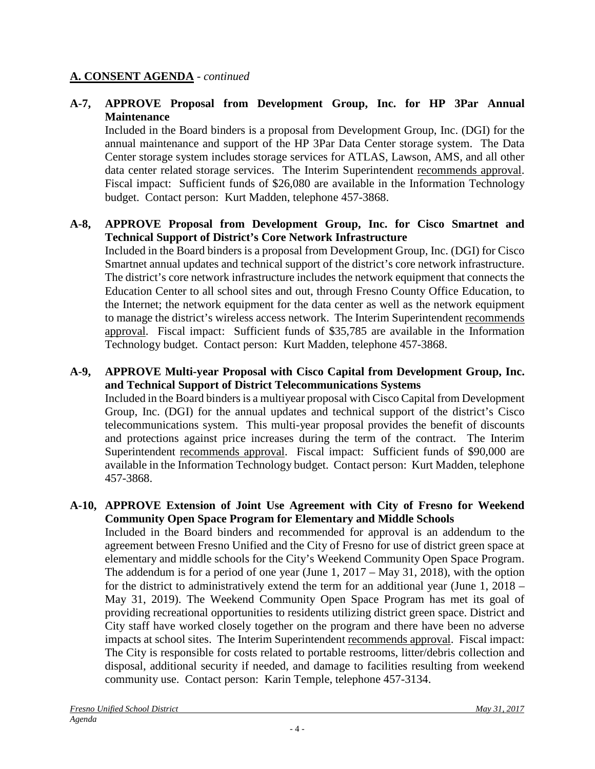### **A-7, APPROVE Proposal from Development Group, Inc. for HP 3Par Annual Maintenance**

Included in the Board binders is a proposal from Development Group, Inc. (DGI) for the annual maintenance and support of the HP 3Par Data Center storage system. The Data Center storage system includes storage services for ATLAS, Lawson, AMS, and all other data center related storage services. The Interim Superintendent recommends approval. Fiscal impact: Sufficient funds of \$26,080 are available in the Information Technology budget. Contact person: Kurt Madden, telephone 457-3868.

# **A-8, APPROVE Proposal from Development Group, Inc. for Cisco Smartnet and Technical Support of District's Core Network Infrastructure**

Included in the Board binders is a proposal from Development Group, Inc. (DGI) for Cisco Smartnet annual updates and technical support of the district's core network infrastructure. The district's core network infrastructure includes the network equipment that connects the Education Center to all school sites and out, through Fresno County Office Education, to the Internet; the network equipment for the data center as well as the network equipment to manage the district's wireless access network. The Interim Superintendent recommends approval. Fiscal impact: Sufficient funds of \$35,785 are available in the Information Technology budget. Contact person: Kurt Madden, telephone 457-3868.

# **A-9, APPROVE Multi-year Proposal with Cisco Capital from Development Group, Inc. and Technical Support of District Telecommunications Systems**

Included in the Board binders is a multiyear proposal with Cisco Capital from Development Group, Inc. (DGI) for the annual updates and technical support of the district's Cisco telecommunications system. This multi-year proposal provides the benefit of discounts and protections against price increases during the term of the contract. The Interim Superintendent recommends approval. Fiscal impact: Sufficient funds of \$90,000 are available in the Information Technology budget. Contact person: Kurt Madden, telephone 457-3868.

## **A-10, APPROVE Extension of Joint Use Agreement with City of Fresno for Weekend Community Open Space Program for Elementary and Middle Schools**

Included in the Board binders and recommended for approval is an addendum to the agreement between Fresno Unified and the City of Fresno for use of district green space at elementary and middle schools for the City's Weekend Community Open Space Program. The addendum is for a period of one year (June 1, 2017 – May 31, 2018), with the option for the district to administratively extend the term for an additional year (June 1, 2018 – May 31, 2019). The Weekend Community Open Space Program has met its goal of providing recreational opportunities to residents utilizing district green space. District and City staff have worked closely together on the program and there have been no adverse impacts at school sites. The Interim Superintendent recommends approval. Fiscal impact: The City is responsible for costs related to portable restrooms, litter/debris collection and disposal, additional security if needed, and damage to facilities resulting from weekend community use. Contact person: Karin Temple, telephone 457-3134.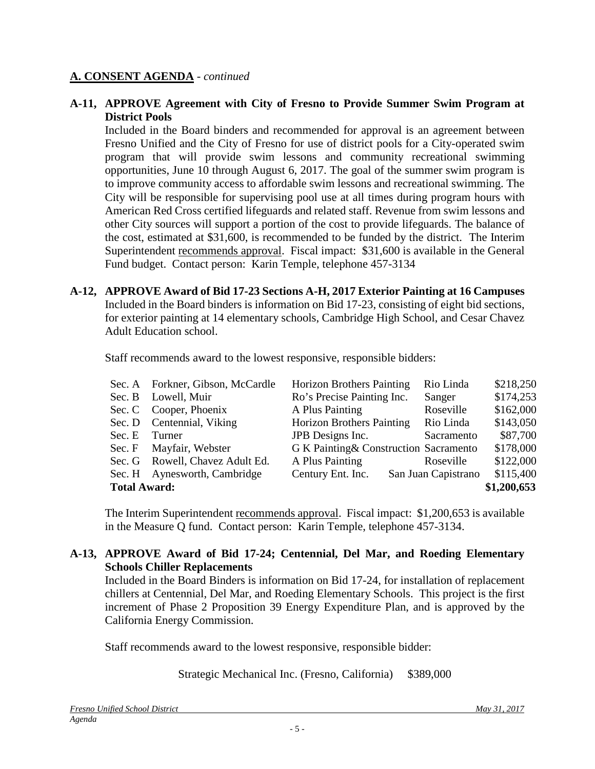#### **A-11, APPROVE Agreement with City of Fresno to Provide Summer Swim Program at District Pools**

Included in the Board binders and recommended for approval is an agreement between Fresno Unified and the City of Fresno for use of district pools for a City-operated swim program that will provide swim lessons and community recreational swimming opportunities, June 10 through August 6, 2017. The goal of the summer swim program is to improve community access to affordable swim lessons and recreational swimming. The City will be responsible for supervising pool use at all times during program hours with American Red Cross certified lifeguards and related staff. Revenue from swim lessons and other City sources will support a portion of the cost to provide lifeguards. The balance of the cost, estimated at \$31,600, is recommended to be funded by the district. The Interim Superintendent recommends approval. Fiscal impact: \$31,600 is available in the General Fund budget. Contact person: Karin Temple, telephone 457-3134

**A-12, APPROVE Award of Bid 17-23 Sections A-H, 2017 Exterior Painting at 16 Campuses** Included in the Board binders is information on Bid 17-23, consisting of eight bid sections, for exterior painting at 14 elementary schools, Cambridge High School, and Cesar Chavez Adult Education school.

Staff recommends award to the lowest responsive, responsible bidders:

| <b>Total Award:</b> |                                  |                                        |                     |                          |  |
|---------------------|----------------------------------|----------------------------------------|---------------------|--------------------------|--|
|                     | Sec. H Aynesworth, Cambridge     | Century Ent. Inc.                      | San Juan Capistrano | \$115,400<br>\$1,200,653 |  |
|                     | Sec. G Rowell, Chavez Adult Ed.  | A Plus Painting                        | Roseville           | \$122,000                |  |
|                     | Sec. F Mayfair, Webster          | G K Painting & Construction Sacramento |                     | \$178,000                |  |
| Sec. E Turner       |                                  | JPB Designs Inc.                       | Sacramento          | \$87,700                 |  |
|                     | Sec. D Centennial, Viking        | <b>Horizon Brothers Painting</b>       | Rio Linda           | \$143,050                |  |
|                     | Sec. C Cooper, Phoenix           | A Plus Painting                        | Roseville           | \$162,000                |  |
|                     | Sec. B Lowell, Muir              | Ro's Precise Painting Inc.             | Sanger              | \$174,253                |  |
|                     | Sec. A Forkner, Gibson, McCardle | <b>Horizon Brothers Painting</b>       | Rio Linda           | \$218,250                |  |

The Interim Superintendent recommends approval. Fiscal impact: \$1,200,653 is available in the Measure Q fund. Contact person: Karin Temple, telephone 457-3134.

## **A-13, APPROVE Award of Bid 17-24; Centennial, Del Mar, and Roeding Elementary Schools Chiller Replacements**

Included in the Board Binders is information on Bid 17-24, for installation of replacement chillers at Centennial, Del Mar, and Roeding Elementary Schools. This project is the first increment of Phase 2 Proposition 39 Energy Expenditure Plan, and is approved by the California Energy Commission.

Staff recommends award to the lowest responsive, responsible bidder:

Strategic Mechanical Inc. (Fresno, California) \$389,000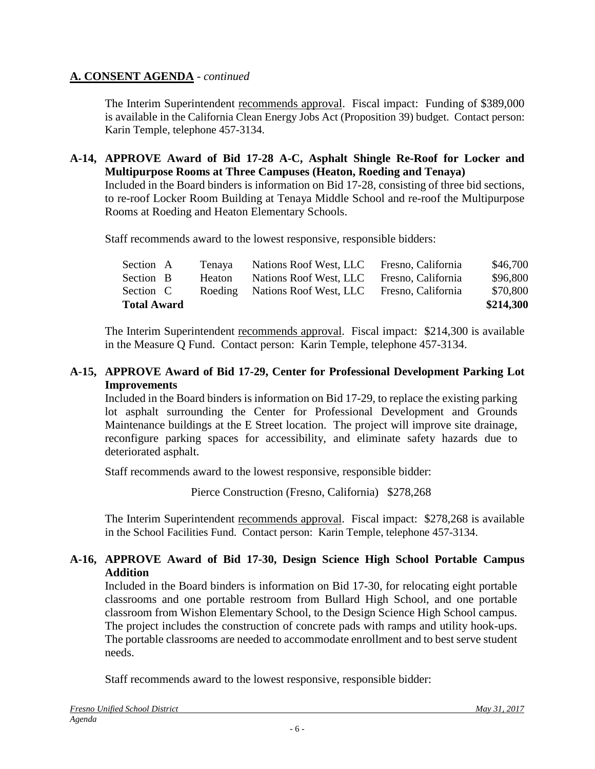The Interim Superintendent recommends approval. Fiscal impact: Funding of \$389,000 is available in the California Clean Energy Jobs Act (Proposition 39) budget. Contact person: Karin Temple, telephone 457-3134.

#### **A-14, APPROVE Award of Bid 17-28 A-C, Asphalt Shingle Re-Roof for Locker and Multipurpose Rooms at Three Campuses (Heaton, Roeding and Tenaya)**

Included in the Board binders is information on Bid 17-28, consisting of three bid sections, to re-roof Locker Room Building at Tenaya Middle School and re-roof the Multipurpose Rooms at Roeding and Heaton Elementary Schools.

Staff recommends award to the lowest responsive, responsible bidders:

| <b>Total Award</b> |  |               |                                |                    | \$214,300 |
|--------------------|--|---------------|--------------------------------|--------------------|-----------|
| Section C          |  |               | Roeding Nations Roof West, LLC | Fresno, California | \$70,800  |
| Section B          |  | <b>Heaton</b> | Nations Roof West, LLC         | Fresno, California | \$96,800  |
| Section A          |  | Tenaya        | Nations Roof West, LLC         | Fresno, California | \$46,700  |

The Interim Superintendent recommends approval. Fiscal impact:\$214,300 is available in the Measure Q Fund. Contact person: Karin Temple, telephone 457-3134.

### **A-15, APPROVE Award of Bid 17-29, Center for Professional Development Parking Lot Improvements**

Included in the Board binders is information on Bid 17-29, to replace the existing parking lot asphalt surrounding the Center for Professional Development and Grounds Maintenance buildings at the E Street location. The project will improve site drainage, reconfigure parking spaces for accessibility, and eliminate safety hazards due to deteriorated asphalt.

Staff recommends award to the lowest responsive, responsible bidder:

Pierce Construction (Fresno, California) \$278,268

The Interim Superintendent recommends approval. Fiscal impact:\$278,268 is available in the School Facilities Fund. Contact person: Karin Temple, telephone 457-3134.

## **A-16, APPROVE Award of Bid 17-30, Design Science High School Portable Campus Addition**

Included in the Board binders is information on Bid 17-30, for relocating eight portable classrooms and one portable restroom from Bullard High School, and one portable classroom from Wishon Elementary School, to the Design Science High School campus. The project includes the construction of concrete pads with ramps and utility hook-ups. The portable classrooms are needed to accommodate enrollment and to best serve student needs.

Staff recommends award to the lowest responsive, responsible bidder: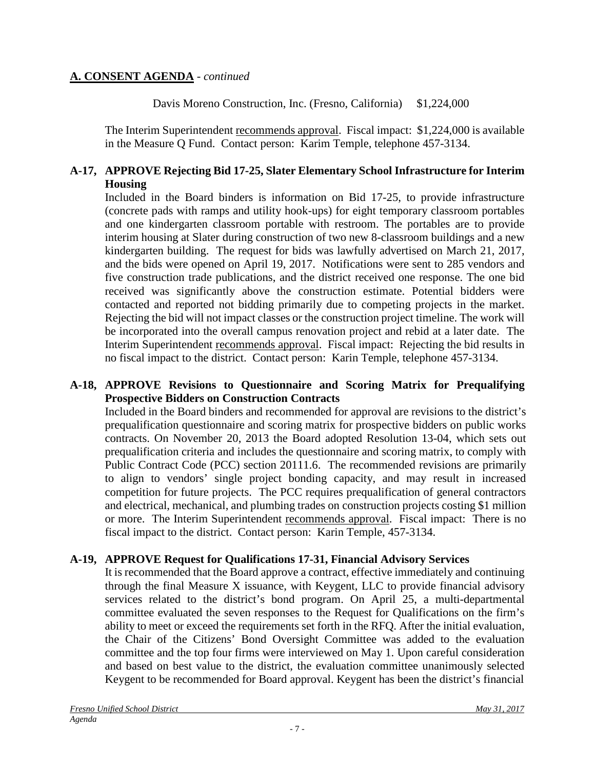Davis Moreno Construction, Inc. (Fresno, California) \$1,224,000

The Interim Superintendent recommends approval. Fiscal impact: \$1,224,000 is available in the Measure Q Fund. Contact person: Karim Temple, telephone 457-3134.

### **A-17, APPROVE Rejecting Bid 17-25, Slater Elementary School Infrastructure for Interim Housing**

Included in the Board binders is information on Bid 17-25, to provide infrastructure (concrete pads with ramps and utility hook-ups) for eight temporary classroom portables and one kindergarten classroom portable with restroom. The portables are to provide interim housing at Slater during construction of two new 8-classroom buildings and a new kindergarten building. The request for bids was lawfully advertised on March 21, 2017, and the bids were opened on April 19, 2017. Notifications were sent to 285 vendors and five construction trade publications, and the district received one response. The one bid received was significantly above the construction estimate. Potential bidders were contacted and reported not bidding primarily due to competing projects in the market. Rejecting the bid will not impact classes or the construction project timeline. The work will be incorporated into the overall campus renovation project and rebid at a later date. The Interim Superintendent recommends approval. Fiscal impact: Rejecting the bid results in no fiscal impact to the district. Contact person: Karin Temple, telephone 457-3134.

### **A-18, APPROVE Revisions to Questionnaire and Scoring Matrix for Prequalifying Prospective Bidders on Construction Contracts**

Included in the Board binders and recommended for approval are revisions to the district's prequalification questionnaire and scoring matrix for prospective bidders on public works contracts. On November 20, 2013 the Board adopted Resolution 13-04, which sets out prequalification criteria and includes the questionnaire and scoring matrix, to comply with Public Contract Code (PCC) section 20111.6. The recommended revisions are primarily to align to vendors' single project bonding capacity, and may result in increased competition for future projects. The PCC requires prequalification of general contractors and electrical, mechanical, and plumbing trades on construction projects costing \$1 million or more. The Interim Superintendent recommends approval. Fiscal impact: There is no fiscal impact to the district. Contact person: Karin Temple, 457-3134.

# **A-19, APPROVE Request for Qualifications 17-31, Financial Advisory Services**

It is recommended that the Board approve a contract, effective immediately and continuing through the final Measure X issuance, with Keygent, LLC to provide financial advisory services related to the district's bond program. On April 25, a multi-departmental committee evaluated the seven responses to the Request for Qualifications on the firm's ability to meet or exceed the requirements set forth in the RFQ. After the initial evaluation, the Chair of the Citizens' Bond Oversight Committee was added to the evaluation committee and the top four firms were interviewed on May 1. Upon careful consideration and based on best value to the district, the evaluation committee unanimously selected Keygent to be recommended for Board approval. Keygent has been the district's financial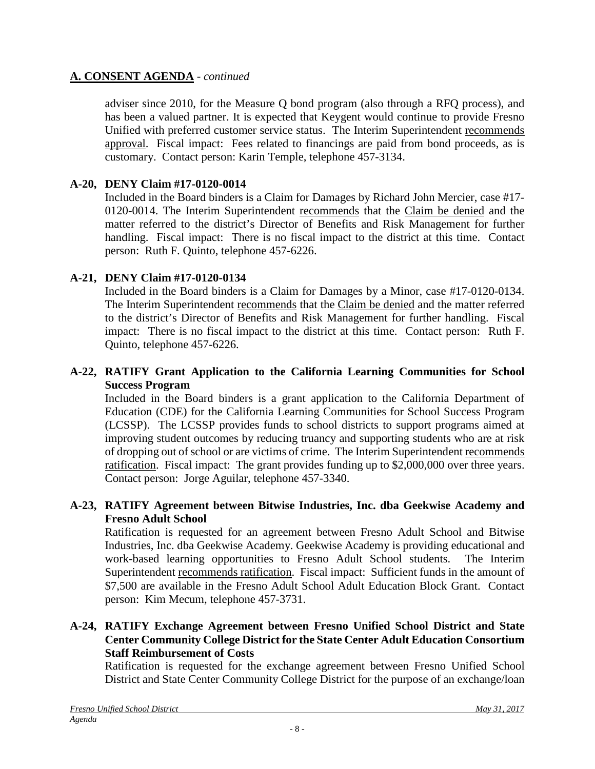adviser since 2010, for the Measure Q bond program (also through a RFQ process), and has been a valued partner. It is expected that Keygent would continue to provide Fresno Unified with preferred customer service status. The Interim Superintendent recommends approval. Fiscal impact: Fees related to financings are paid from bond proceeds, as is customary. Contact person: Karin Temple, telephone 457-3134.

# **A-20, DENY Claim #17-0120-0014**

Included in the Board binders is a Claim for Damages by Richard John Mercier, case #17- 0120-0014. The Interim Superintendent recommends that the Claim be denied and the matter referred to the district's Director of Benefits and Risk Management for further handling. Fiscal impact: There is no fiscal impact to the district at this time. Contact person: Ruth F. Quinto, telephone 457-6226.

# **A-21, DENY Claim #17-0120-0134**

Included in the Board binders is a Claim for Damages by a Minor, case #17-0120-0134. The Interim Superintendent recommends that the Claim be denied and the matter referred to the district's Director of Benefits and Risk Management for further handling. Fiscal impact: There is no fiscal impact to the district at this time. Contact person: Ruth F. Quinto, telephone 457-6226.

# **A-22, RATIFY Grant Application to the California Learning Communities for School Success Program**

Included in the Board binders is a grant application to the California Department of Education (CDE) for the California Learning Communities for School Success Program (LCSSP). The LCSSP provides funds to school districts to support programs aimed at improving student outcomes by reducing truancy and supporting students who are at risk of dropping out of school or are victims of crime. The Interim Superintendent recommends ratification. Fiscal impact: The grant provides funding up to \$2,000,000 over three years. Contact person: Jorge Aguilar, telephone 457-3340.

## **A-23, RATIFY Agreement between Bitwise Industries, Inc. dba Geekwise Academy and Fresno Adult School**

Ratification is requested for an agreement between Fresno Adult School and Bitwise Industries, Inc. dba Geekwise Academy. Geekwise Academy is providing educational and work-based learning opportunities to Fresno Adult School students. The Interim Superintendent recommends ratification. Fiscal impact: Sufficient funds in the amount of \$7,500 are available in the Fresno Adult School Adult Education Block Grant. Contact person: Kim Mecum, telephone 457-3731.

### **A-24, RATIFY Exchange Agreement between Fresno Unified School District and State Center Community College District for the State Center Adult Education Consortium Staff Reimbursement of Costs**

Ratification is requested for the exchange agreement between Fresno Unified School District and State Center Community College District for the purpose of an exchange/loan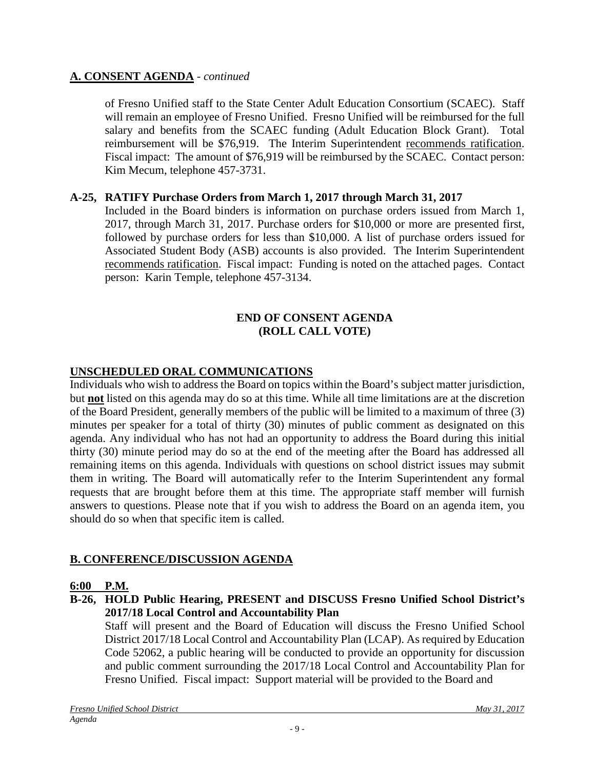of Fresno Unified staff to the State Center Adult Education Consortium (SCAEC). Staff will remain an employee of Fresno Unified. Fresno Unified will be reimbursed for the full salary and benefits from the SCAEC funding (Adult Education Block Grant). Total reimbursement will be \$76,919. The Interim Superintendent recommends ratification. Fiscal impact: The amount of \$76,919 will be reimbursed by the SCAEC. Contact person: Kim Mecum, telephone 457-3731.

### **A-25, RATIFY Purchase Orders from March 1, 2017 through March 31, 2017**

Included in the Board binders is information on purchase orders issued from March 1, 2017, through March 31, 2017. Purchase orders for \$10,000 or more are presented first, followed by purchase orders for less than \$10,000. A list of purchase orders issued for Associated Student Body (ASB) accounts is also provided. The Interim Superintendent recommends ratification. Fiscal impact: Funding is noted on the attached pages. Contact person: Karin Temple, telephone 457-3134.

#### **END OF CONSENT AGENDA (ROLL CALL VOTE)**

## **UNSCHEDULED ORAL COMMUNICATIONS**

Individuals who wish to address the Board on topics within the Board's subject matter jurisdiction, but **not** listed on this agenda may do so at this time. While all time limitations are at the discretion of the Board President, generally members of the public will be limited to a maximum of three (3) minutes per speaker for a total of thirty (30) minutes of public comment as designated on this agenda. Any individual who has not had an opportunity to address the Board during this initial thirty (30) minute period may do so at the end of the meeting after the Board has addressed all remaining items on this agenda. Individuals with questions on school district issues may submit them in writing. The Board will automatically refer to the Interim Superintendent any formal requests that are brought before them at this time. The appropriate staff member will furnish answers to questions. Please note that if you wish to address the Board on an agenda item, you should do so when that specific item is called.

# **B. CONFERENCE/DISCUSSION AGENDA**

#### **6:00 P.M.**

**B-26, HOLD Public Hearing, PRESENT and DISCUSS Fresno Unified School District's 2017/18 Local Control and Accountability Plan**

Staff will present and the Board of Education will discuss the Fresno Unified School District 2017/18 Local Control and Accountability Plan (LCAP). As required by Education Code 52062, a public hearing will be conducted to provide an opportunity for discussion and public comment surrounding the 2017/18 Local Control and Accountability Plan for Fresno Unified. Fiscal impact: Support material will be provided to the Board and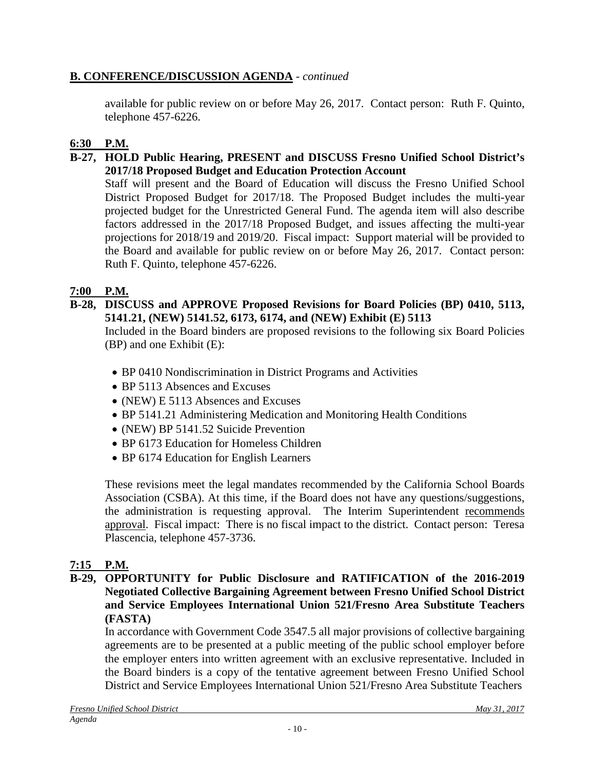# **B. CONFERENCE/DISCUSSION AGENDA** - *continued*

available for public review on or before May 26, 2017. Contact person: Ruth F. Quinto, telephone 457-6226.

# **6:30 P.M.**

## **B-27, HOLD Public Hearing, PRESENT and DISCUSS Fresno Unified School District's 2017/18 Proposed Budget and Education Protection Account**

Staff will present and the Board of Education will discuss the Fresno Unified School District Proposed Budget for 2017/18. The Proposed Budget includes the multi-year projected budget for the Unrestricted General Fund. The agenda item will also describe factors addressed in the 2017/18 Proposed Budget, and issues affecting the multi-year projections for 2018/19 and 2019/20. Fiscal impact: Support material will be provided to the Board and available for public review on or before May 26, 2017. Contact person: Ruth F. Quinto, telephone 457-6226.

# **7:00 P.M.**

**B-28, DISCUSS and APPROVE Proposed Revisions for Board Policies (BP) 0410, 5113, 5141.21, (NEW) 5141.52, 6173, 6174, and (NEW) Exhibit (E) 5113**

Included in the Board binders are proposed revisions to the following six Board Policies (BP) and one Exhibit (E):

- BP 0410 Nondiscrimination in District Programs and Activities
- BP 5113 Absences and Excuses
- (NEW) E 5113 Absences and Excuses
- BP 5141.21 Administering Medication and Monitoring Health Conditions
- (NEW) BP 5141.52 Suicide Prevention
- BP 6173 Education for Homeless Children
- BP 6174 Education for English Learners

These revisions meet the legal mandates recommended by the California School Boards Association (CSBA). At this time, if the Board does not have any questions/suggestions, the administration is requesting approval. The Interim Superintendent recommends approval. Fiscal impact: There is no fiscal impact to the district. Contact person: Teresa Plascencia, telephone 457-3736.

# **7:15 P.M.**

#### **B-29, OPPORTUNITY for Public Disclosure and RATIFICATION of the 2016-2019 Negotiated Collective Bargaining Agreement between Fresno Unified School District and Service Employees International Union 521/Fresno Area Substitute Teachers (FASTA)**

In accordance with Government Code 3547.5 all major provisions of collective bargaining agreements are to be presented at a public meeting of the public school employer before the employer enters into written agreement with an exclusive representative. Included in the Board binders is a copy of the tentative agreement between Fresno Unified School District and Service Employees International Union 521/Fresno Area Substitute Teachers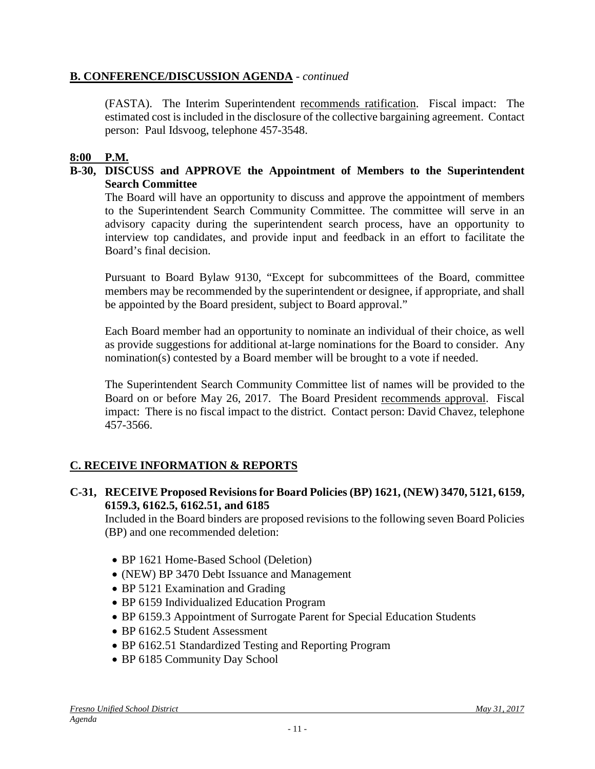# **B. CONFERENCE/DISCUSSION AGENDA** - *continued*

(FASTA). The Interim Superintendent recommends ratification. Fiscal impact: The estimated cost is included in the disclosure of the collective bargaining agreement. Contact person: Paul Idsvoog, telephone 457-3548.

#### **8:00 P.M.**

#### **B-30, DISCUSS and APPROVE the Appointment of Members to the Superintendent Search Committee**

The Board will have an opportunity to discuss and approve the appointment of members to the Superintendent Search Community Committee. The committee will serve in an advisory capacity during the superintendent search process, have an opportunity to interview top candidates, and provide input and feedback in an effort to facilitate the Board's final decision.

Pursuant to Board Bylaw 9130, "Except for subcommittees of the Board, committee members may be recommended by the superintendent or designee, if appropriate, and shall be appointed by the Board president, subject to Board approval."

Each Board member had an opportunity to nominate an individual of their choice, as well as provide suggestions for additional at-large nominations for the Board to consider. Any nomination(s) contested by a Board member will be brought to a vote if needed.

The Superintendent Search Community Committee list of names will be provided to the Board on or before May 26, 2017. The Board President recommends approval. Fiscal impact: There is no fiscal impact to the district. Contact person: David Chavez, telephone 457-3566.

#### **C. RECEIVE INFORMATION & REPORTS**

#### **C-31, RECEIVE Proposed Revisions for Board Policies (BP) 1621, (NEW) 3470, 5121, 6159, 6159.3, 6162.5, 6162.51, and 6185**

Included in the Board binders are proposed revisions to the following seven Board Policies (BP) and one recommended deletion:

- BP 1621 Home-Based School (Deletion)
- (NEW) BP 3470 Debt Issuance and Management
- BP 5121 Examination and Grading
- BP 6159 Individualized Education Program
- BP 6159.3 Appointment of Surrogate Parent for Special Education Students
- BP 6162.5 Student Assessment
- BP 6162.51 Standardized Testing and Reporting Program
- BP 6185 Community Day School